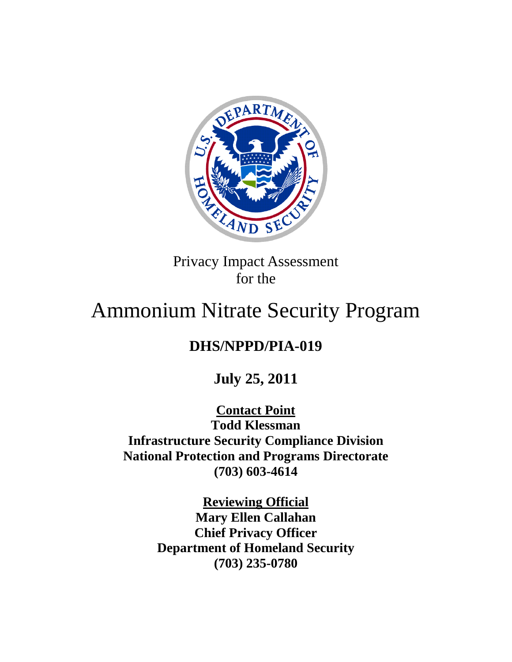

Privacy Impact Assessment for the

# Ammonium Nitrate Security Program

# **DHS/NPPD/PIA-019**

**July 25, 2011**

**Contact Point Todd Klessman Infrastructure Security Compliance Division National Protection and Programs Directorate (703) 603-4614**

> **Reviewing Official Mary Ellen Callahan Chief Privacy Officer Department of Homeland Security (703) 235-0780**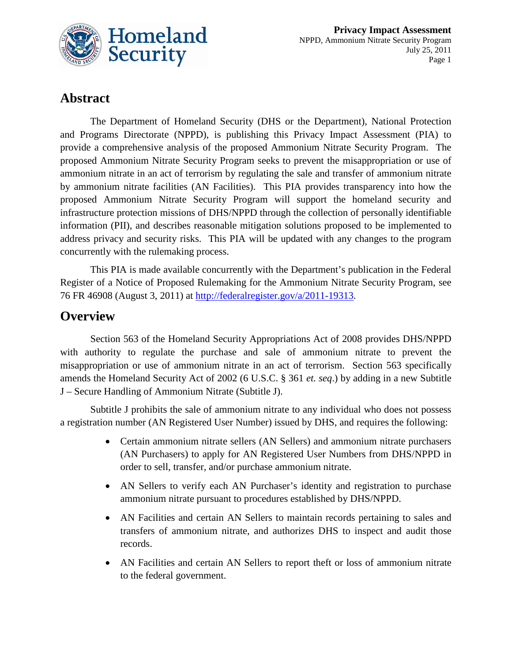

# **Abstract**

The Department of Homeland Security (DHS or the Department), National Protection and Programs Directorate (NPPD), is publishing this Privacy Impact Assessment (PIA) to provide a comprehensive analysis of the proposed Ammonium Nitrate Security Program. The proposed Ammonium Nitrate Security Program seeks to prevent the misappropriation or use of ammonium nitrate in an act of terrorism by regulating the sale and transfer of ammonium nitrate by ammonium nitrate facilities (AN Facilities). This PIA provides transparency into how the proposed Ammonium Nitrate Security Program will support the homeland security and infrastructure protection missions of DHS/NPPD through the collection of personally identifiable information (PII), and describes reasonable mitigation solutions proposed to be implemented to address privacy and security risks. This PIA will be updated with any changes to the program concurrently with the rulemaking process.

This PIA is made available concurrently with the Department's publication in the Federal Register of a Notice of Proposed Rulemaking for the Ammonium Nitrate Security Program, see 76 FR 46908 (August 3, 2011) at [http://federalregister.gov/a/2011-19313.](http://federalregister.gov/a/2011-19313)

# **Overview**

Section 563 of the Homeland Security Appropriations Act of 2008 provides DHS/NPPD with authority to regulate the purchase and sale of ammonium nitrate to prevent the misappropriation or use of ammonium nitrate in an act of terrorism. Section 563 specifically amends the Homeland Security Act of 2002 (6 U.S.C. § 361 *et. seq*.) by adding in a new Subtitle J – Secure Handling of Ammonium Nitrate (Subtitle J).

Subtitle J prohibits the sale of ammonium nitrate to any individual who does not possess a registration number (AN Registered User Number) issued by DHS, and requires the following:

- Certain ammonium nitrate sellers (AN Sellers) and ammonium nitrate purchasers (AN Purchasers) to apply for AN Registered User Numbers from DHS/NPPD in order to sell, transfer, and/or purchase ammonium nitrate.
- AN Sellers to verify each AN Purchaser's identity and registration to purchase ammonium nitrate pursuant to procedures established by DHS/NPPD.
- AN Facilities and certain AN Sellers to maintain records pertaining to sales and transfers of ammonium nitrate, and authorizes DHS to inspect and audit those records.
- AN Facilities and certain AN Sellers to report theft or loss of ammonium nitrate to the federal government.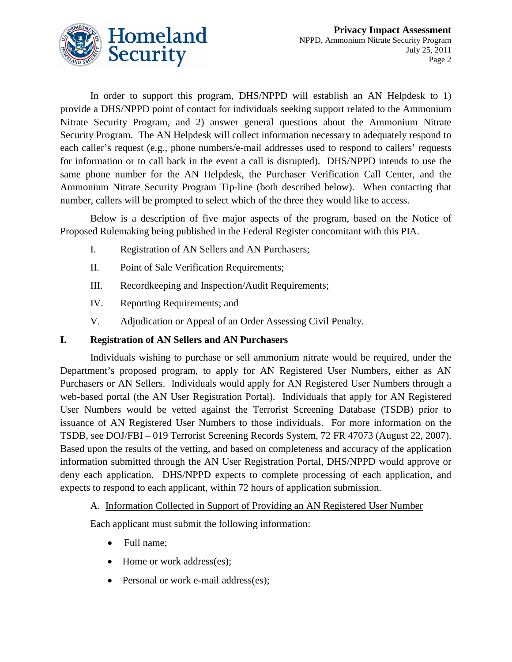

In order to support this program, DHS/NPPD will establish an AN Helpdesk to 1) provide a DHS/NPPD point of contact for individuals seeking support related to the Ammonium Nitrate Security Program, and 2) answer general questions about the Ammonium Nitrate Security Program. The AN Helpdesk will collect information necessary to adequately respond to each caller's request (e.g., phone numbers/e-mail addresses used to respond to callers' requests for information or to call back in the event a call is disrupted). DHS/NPPD intends to use the same phone number for the AN Helpdesk, the Purchaser Verification Call Center, and the Ammonium Nitrate Security Program Tip-line (both described below). When contacting that number, callers will be prompted to select which of the three they would like to access.

Below is a description of five major aspects of the program, based on the Notice of Proposed Rulemaking being published in the Federal Register concomitant with this PIA.

- I. Registration of AN Sellers and AN Purchasers;
- II. Point of Sale Verification Requirements;
- III. Recordkeeping and Inspection/Audit Requirements;
- IV. Reporting Requirements; and
- V. Adjudication or Appeal of an Order Assessing Civil Penalty.

#### **I. Registration of AN Sellers and AN Purchasers**

Individuals wishing to purchase or sell ammonium nitrate would be required, under the Department's proposed program, to apply for AN Registered User Numbers, either as AN Purchasers or AN Sellers. Individuals would apply for AN Registered User Numbers through a web-based portal (the AN User Registration Portal). Individuals that apply for AN Registered User Numbers would be vetted against the Terrorist Screening Database (TSDB) prior to issuance of AN Registered User Numbers to those individuals. For more information on the TSDB, see DOJ/FBI – 019 Terrorist Screening Records System, 72 FR 47073 (August 22, 2007). Based upon the results of the vetting, and based on completeness and accuracy of the application information submitted through the AN User Registration Portal, DHS/NPPD would approve or deny each application. DHS/NPPD expects to complete processing of each application, and expects to respond to each applicant, within 72 hours of application submission.

#### A. Information Collected in Support of Providing an AN Registered User Number

Each applicant must submit the following information:

- Full name;
- Home or work address(es);
- Personal or work e-mail address(es);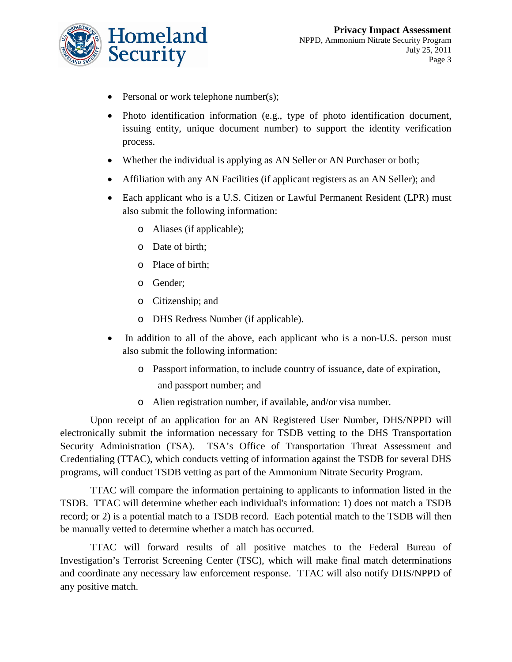

- Personal or work telephone number(s);
- Photo identification information (e.g., type of photo identification document, issuing entity, unique document number) to support the identity verification process.
- Whether the individual is applying as AN Seller or AN Purchaser or both;
- Affiliation with any AN Facilities (if applicant registers as an AN Seller); and
- Each applicant who is a U.S. Citizen or Lawful Permanent Resident (LPR) must also submit the following information:
	- o Aliases (if applicable);
	- o Date of birth;
	- o Place of birth;
	- o Gender;
	- o Citizenship; and
	- o DHS Redress Number (if applicable).
- In addition to all of the above, each applicant who is a non-U.S. person must also submit the following information:
	- o Passport information, to include country of issuance, date of expiration,
		- and passport number; and
	- o Alien registration number, if available, and/or visa number.

Upon receipt of an application for an AN Registered User Number, DHS/NPPD will electronically submit the information necessary for TSDB vetting to the DHS Transportation Security Administration (TSA). TSA's Office of Transportation Threat Assessment and Credentialing (TTAC), which conducts vetting of information against the TSDB for several DHS programs, will conduct TSDB vetting as part of the Ammonium Nitrate Security Program.

TTAC will compare the information pertaining to applicants to information listed in the TSDB. TTAC will determine whether each individual's information: 1) does not match a TSDB record; or 2) is a potential match to a TSDB record. Each potential match to the TSDB will then be manually vetted to determine whether a match has occurred.

TTAC will forward results of all positive matches to the Federal Bureau of Investigation's Terrorist Screening Center (TSC), which will make final match determinations and coordinate any necessary law enforcement response. TTAC will also notify DHS/NPPD of any positive match.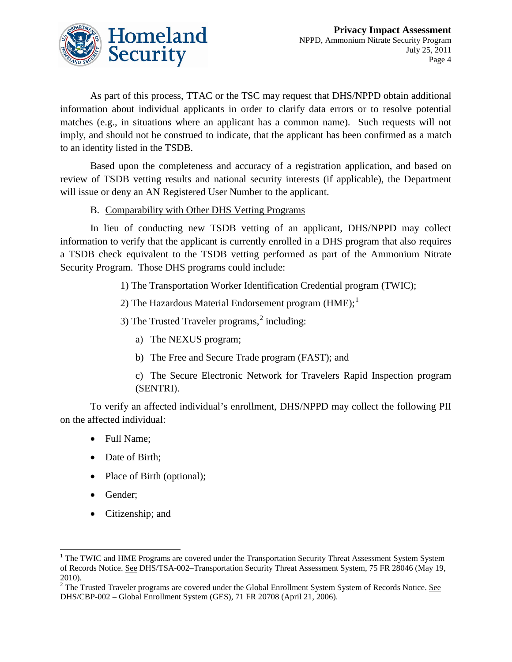

As part of this process, TTAC or the TSC may request that DHS/NPPD obtain additional information about individual applicants in order to clarify data errors or to resolve potential matches (e.g., in situations where an applicant has a common name). Such requests will not imply, and should not be construed to indicate, that the applicant has been confirmed as a match to an identity listed in the TSDB.

Based upon the completeness and accuracy of a registration application, and based on review of TSDB vetting results and national security interests (if applicable), the Department will issue or deny an AN Registered User Number to the applicant.

#### B. Comparability with Other DHS Vetting Programs

In lieu of conducting new TSDB vetting of an applicant, DHS/NPPD may collect information to verify that the applicant is currently enrolled in a DHS program that also requires a TSDB check equivalent to the TSDB vetting performed as part of the Ammonium Nitrate Security Program. Those DHS programs could include:

1) The Transportation Worker Identification Credential program (TWIC);

2) The Hazardous Material Endorsement program  $(HME);$ <sup>[1](#page-4-0)</sup>

3) The Trusted Traveler programs,<sup>[2](#page-4-1)</sup> including:

- a) The NEXUS program;
- b) The Free and Secure Trade program (FAST); and

c) The Secure Electronic Network for Travelers Rapid Inspection program (SENTRI).

To verify an affected individual's enrollment, DHS/NPPD may collect the following PII on the affected individual:

- Full Name;
- Date of Birth;
- Place of Birth (optional);
- Gender;
- Citizenship; and

<span id="page-4-0"></span> $1$  The TWIC and HME Programs are covered under the Transportation Security Threat Assessment System System of Records Notice. See DHS/TSA-002-Transportation Security Threat Assessment System, 75 FR 28046 (May 19, 2010).

<span id="page-4-1"></span><sup>&</sup>lt;sup>2</sup> The Trusted Traveler programs are covered under the Global Enrollment System System of Records Notice. <u>See</u> DHS/CBP-002 – Global Enrollment System (GES), 71 FR 20708 (April 21, 2006).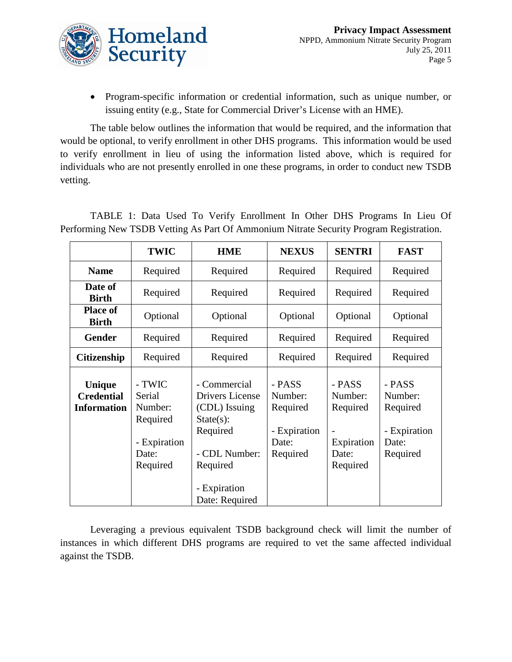

• Program-specific information or credential information, such as unique number, or issuing entity (e.g., State for Commercial Driver's License with an HME).

The table below outlines the information that would be required, and the information that would be optional, to verify enrollment in other DHS programs. This information would be used to verify enrollment in lieu of using the information listed above, which is required for individuals who are not presently enrolled in one these programs, in order to conduct new TSDB vetting.

|                                                          | <b>TWIC</b>                                                                  | <b>HME</b>                                                                                                                                  | <b>NEXUS</b>                                                       | <b>SENTRI</b>                                                    | <b>FAST</b>                                                        |
|----------------------------------------------------------|------------------------------------------------------------------------------|---------------------------------------------------------------------------------------------------------------------------------------------|--------------------------------------------------------------------|------------------------------------------------------------------|--------------------------------------------------------------------|
| <b>Name</b>                                              | Required                                                                     | Required                                                                                                                                    | Required                                                           | Required                                                         | Required                                                           |
| Date of<br><b>Birth</b>                                  | Required                                                                     | Required                                                                                                                                    | Required                                                           | Required                                                         | Required                                                           |
| <b>Place of</b><br><b>Birth</b>                          | Optional                                                                     | Optional                                                                                                                                    | Optional                                                           | Optional                                                         | Optional                                                           |
| <b>Gender</b>                                            | Required                                                                     | Required                                                                                                                                    | Required                                                           | Required                                                         | Required                                                           |
| <b>Citizenship</b>                                       | Required                                                                     | Required                                                                                                                                    | Required                                                           | Required                                                         | Required                                                           |
| <b>Unique</b><br><b>Credential</b><br><b>Information</b> | - TWIC<br>Serial<br>Number:<br>Required<br>- Expiration<br>Date:<br>Required | - Commercial<br>Drivers License<br>(CDL) Issuing<br>$State(s)$ :<br>Required<br>- CDL Number:<br>Required<br>- Expiration<br>Date: Required | - PASS<br>Number:<br>Required<br>- Expiration<br>Date:<br>Required | - PASS<br>Number:<br>Required<br>Expiration<br>Date:<br>Required | - PASS<br>Number:<br>Required<br>- Expiration<br>Date:<br>Required |

TABLE 1: Data Used To Verify Enrollment In Other DHS Programs In Lieu Of Performing New TSDB Vetting As Part Of Ammonium Nitrate Security Program Registration.

Leveraging a previous equivalent TSDB background check will limit the number of instances in which different DHS programs are required to vet the same affected individual against the TSDB.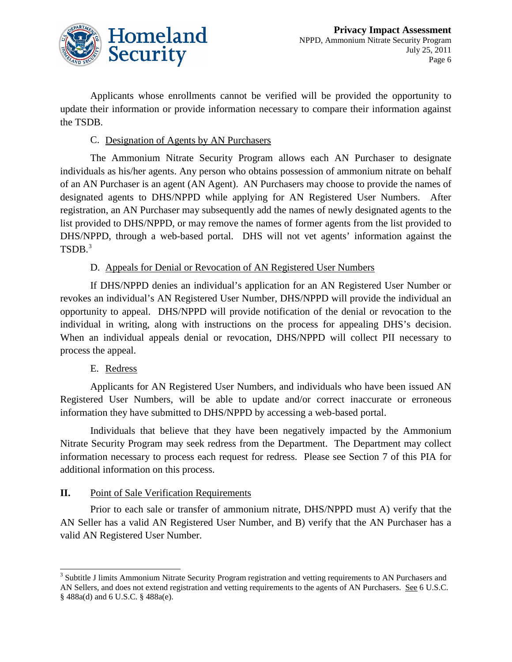

Applicants whose enrollments cannot be verified will be provided the opportunity to update their information or provide information necessary to compare their information against the TSDB.

#### C. Designation of Agents by AN Purchasers

The Ammonium Nitrate Security Program allows each AN Purchaser to designate individuals as his/her agents. Any person who obtains possession of ammonium nitrate on behalf of an AN Purchaser is an agent (AN Agent). AN Purchasers may choose to provide the names of designated agents to DHS/NPPD while applying for AN Registered User Numbers. After registration, an AN Purchaser may subsequently add the names of newly designated agents to the list provided to DHS/NPPD, or may remove the names of former agents from the list provided to DHS/NPPD, through a web-based portal. DHS will not vet agents' information against the TSDB. [3](#page-6-0)

#### D. Appeals for Denial or Revocation of AN Registered User Numbers

If DHS/NPPD denies an individual's application for an AN Registered User Number or revokes an individual's AN Registered User Number, DHS/NPPD will provide the individual an opportunity to appeal. DHS/NPPD will provide notification of the denial or revocation to the individual in writing, along with instructions on the process for appealing DHS's decision. When an individual appeals denial or revocation, DHS/NPPD will collect PII necessary to process the appeal.

#### E. Redress

Applicants for AN Registered User Numbers, and individuals who have been issued AN Registered User Numbers, will be able to update and/or correct inaccurate or erroneous information they have submitted to DHS/NPPD by accessing a web-based portal.

Individuals that believe that they have been negatively impacted by the Ammonium Nitrate Security Program may seek redress from the Department. The Department may collect information necessary to process each request for redress. Please see Section 7 of this PIA for additional information on this process.

#### **II.** Point of Sale Verification Requirements

Prior to each sale or transfer of ammonium nitrate, DHS/NPPD must A) verify that the AN Seller has a valid AN Registered User Number, and B) verify that the AN Purchaser has a valid AN Registered User Number.

<span id="page-6-0"></span><sup>&</sup>lt;sup>3</sup> Subtitle J limits Ammonium Nitrate Security Program registration and vetting requirements to AN Purchasers and AN Sellers, and does not extend registration and vetting requirements to the agents of AN Purchasers. See 6 U.S.C. § 488a(d) and 6 U.S.C. § 488a(e).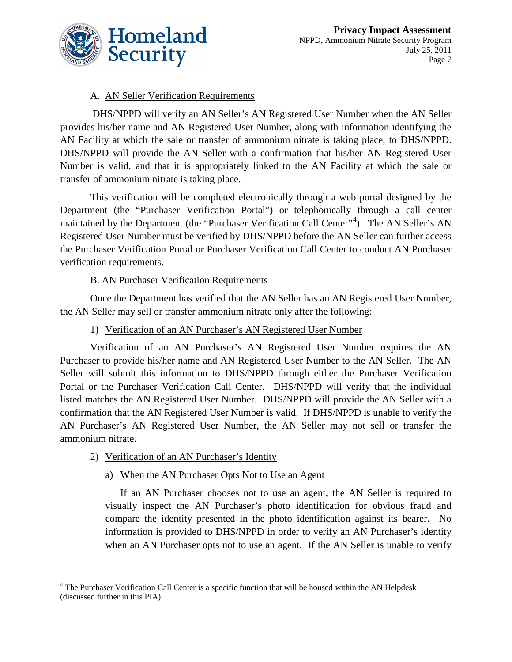

#### A. AN Seller Verification Requirements

DHS/NPPD will verify an AN Seller's AN Registered User Number when the AN Seller provides his/her name and AN Registered User Number, along with information identifying the AN Facility at which the sale or transfer of ammonium nitrate is taking place, to DHS/NPPD. DHS/NPPD will provide the AN Seller with a confirmation that his/her AN Registered User Number is valid, and that it is appropriately linked to the AN Facility at which the sale or transfer of ammonium nitrate is taking place.

This verification will be completed electronically through a web portal designed by the Department (the "Purchaser Verification Portal") or telephonically through a call center maintained by the Department (the "Purchaser Verification Call Center"<sup>[4](#page-7-0)</sup>). The AN Seller's AN Registered User Number must be verified by DHS/NPPD before the AN Seller can further access the Purchaser Verification Portal or Purchaser Verification Call Center to conduct AN Purchaser verification requirements.

#### B. AN Purchaser Verification Requirements

Once the Department has verified that the AN Seller has an AN Registered User Number, the AN Seller may sell or transfer ammonium nitrate only after the following:

#### 1) Verification of an AN Purchaser's AN Registered User Number

Verification of an AN Purchaser's AN Registered User Number requires the AN Purchaser to provide his/her name and AN Registered User Number to the AN Seller. The AN Seller will submit this information to DHS/NPPD through either the Purchaser Verification Portal or the Purchaser Verification Call Center. DHS/NPPD will verify that the individual listed matches the AN Registered User Number. DHS/NPPD will provide the AN Seller with a confirmation that the AN Registered User Number is valid. If DHS/NPPD is unable to verify the AN Purchaser's AN Registered User Number, the AN Seller may not sell or transfer the ammonium nitrate.

- 2) Verification of an AN Purchaser's Identity
	- a) When the AN Purchaser Opts Not to Use an Agent

If an AN Purchaser chooses not to use an agent, the AN Seller is required to visually inspect the AN Purchaser's photo identification for obvious fraud and compare the identity presented in the photo identification against its bearer. No information is provided to DHS/NPPD in order to verify an AN Purchaser's identity when an AN Purchaser opts not to use an agent. If the AN Seller is unable to verify

<span id="page-7-0"></span><sup>&</sup>lt;sup>4</sup> The Purchaser Verification Call Center is a specific function that will be housed within the AN Helpdesk (discussed further in this PIA).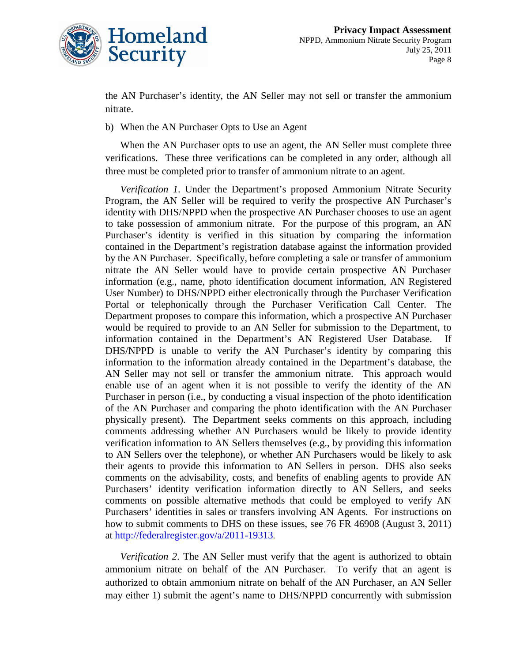

the AN Purchaser's identity, the AN Seller may not sell or transfer the ammonium nitrate.

b) When the AN Purchaser Opts to Use an Agent

When the AN Purchaser opts to use an agent, the AN Seller must complete three verifications. These three verifications can be completed in any order, although all three must be completed prior to transfer of ammonium nitrate to an agent.

*Verification 1*. Under the Department's proposed Ammonium Nitrate Security Program, the AN Seller will be required to verify the prospective AN Purchaser's identity with DHS/NPPD when the prospective AN Purchaser chooses to use an agent to take possession of ammonium nitrate. For the purpose of this program, an AN Purchaser's identity is verified in this situation by comparing the information contained in the Department's registration database against the information provided by the AN Purchaser. Specifically, before completing a sale or transfer of ammonium nitrate the AN Seller would have to provide certain prospective AN Purchaser information (e.g., name, photo identification document information, AN Registered User Number) to DHS/NPPD either electronically through the Purchaser Verification Portal or telephonically through the Purchaser Verification Call Center. The Department proposes to compare this information, which a prospective AN Purchaser would be required to provide to an AN Seller for submission to the Department, to information contained in the Department's AN Registered User Database. If DHS/NPPD is unable to verify the AN Purchaser's identity by comparing this information to the information already contained in the Department's database, the AN Seller may not sell or transfer the ammonium nitrate. This approach would enable use of an agent when it is not possible to verify the identity of the AN Purchaser in person (i.e., by conducting a visual inspection of the photo identification of the AN Purchaser and comparing the photo identification with the AN Purchaser physically present). The Department seeks comments on this approach, including comments addressing whether AN Purchasers would be likely to provide identity verification information to AN Sellers themselves (e.g., by providing this information to AN Sellers over the telephone), or whether AN Purchasers would be likely to ask their agents to provide this information to AN Sellers in person. DHS also seeks comments on the advisability, costs, and benefits of enabling agents to provide AN Purchasers' identity verification information directly to AN Sellers, and seeks comments on possible alternative methods that could be employed to verify AN Purchasers' identities in sales or transfers involving AN Agents. For instructions on how to submit comments to DHS on these issues, see 76 FR 46908 (August 3, 2011) at [http://federalregister.gov/a/2011-19313.](http://federalregister.gov/a/2011-19313)

*Verification 2*. The AN Seller must verify that the agent is authorized to obtain ammonium nitrate on behalf of the AN Purchaser. To verify that an agent is authorized to obtain ammonium nitrate on behalf of the AN Purchaser, an AN Seller may either 1) submit the agent's name to DHS/NPPD concurrently with submission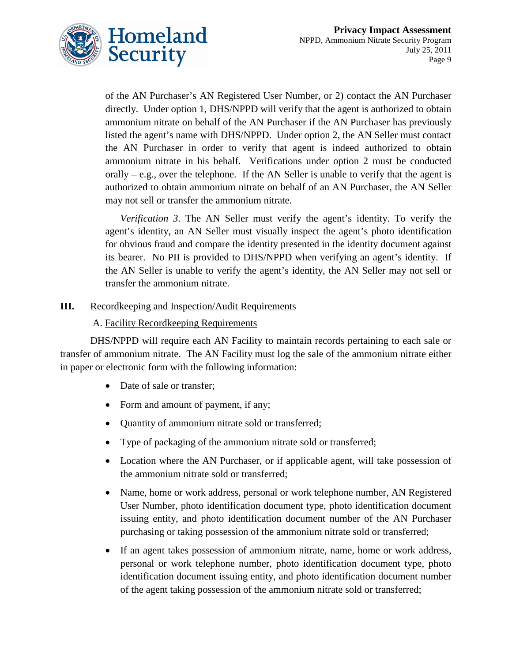

of the AN Purchaser's AN Registered User Number, or 2) contact the AN Purchaser directly. Under option 1, DHS/NPPD will verify that the agent is authorized to obtain ammonium nitrate on behalf of the AN Purchaser if the AN Purchaser has previously listed the agent's name with DHS/NPPD. Under option 2, the AN Seller must contact the AN Purchaser in order to verify that agent is indeed authorized to obtain ammonium nitrate in his behalf. Verifications under option 2 must be conducted orally  $-$  e.g., over the telephone. If the AN Seller is unable to verify that the agent is authorized to obtain ammonium nitrate on behalf of an AN Purchaser, the AN Seller may not sell or transfer the ammonium nitrate.

*Verification 3*. The AN Seller must verify the agent's identity. To verify the agent's identity, an AN Seller must visually inspect the agent's photo identification for obvious fraud and compare the identity presented in the identity document against its bearer. No PII is provided to DHS/NPPD when verifying an agent's identity. If the AN Seller is unable to verify the agent's identity, the AN Seller may not sell or transfer the ammonium nitrate.

#### **III.** Recordkeeping and Inspection/Audit Requirements

#### A. Facility Recordkeeping Requirements

DHS/NPPD will require each AN Facility to maintain records pertaining to each sale or transfer of ammonium nitrate. The AN Facility must log the sale of the ammonium nitrate either in paper or electronic form with the following information:

- Date of sale or transfer;
- Form and amount of payment, if any;
- Quantity of ammonium nitrate sold or transferred;
- Type of packaging of the ammonium nitrate sold or transferred;
- Location where the AN Purchaser, or if applicable agent, will take possession of the ammonium nitrate sold or transferred;
- Name, home or work address, personal or work telephone number, AN Registered User Number, photo identification document type, photo identification document issuing entity, and photo identification document number of the AN Purchaser purchasing or taking possession of the ammonium nitrate sold or transferred;
- If an agent takes possession of ammonium nitrate, name, home or work address, personal or work telephone number, photo identification document type, photo identification document issuing entity, and photo identification document number of the agent taking possession of the ammonium nitrate sold or transferred;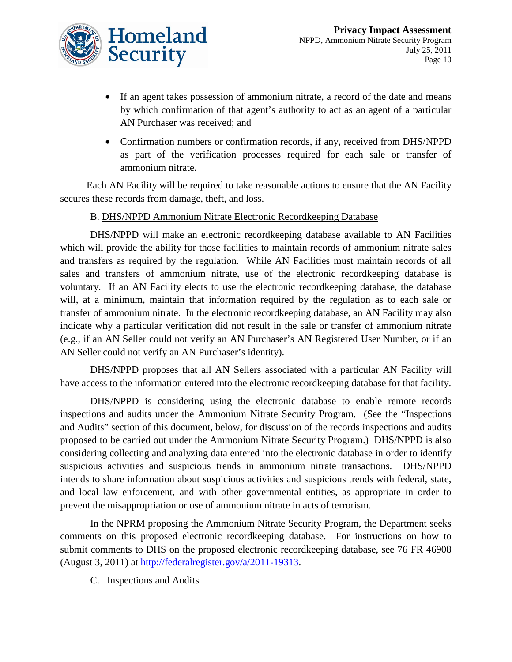

- If an agent takes possession of ammonium nitrate, a record of the date and means by which confirmation of that agent's authority to act as an agent of a particular AN Purchaser was received; and
- Confirmation numbers or confirmation records, if any, received from DHS/NPPD as part of the verification processes required for each sale or transfer of ammonium nitrate.

Each AN Facility will be required to take reasonable actions to ensure that the AN Facility secures these records from damage, theft, and loss.

#### B. DHS/NPPD Ammonium Nitrate Electronic Recordkeeping Database

DHS/NPPD will make an electronic recordkeeping database available to AN Facilities which will provide the ability for those facilities to maintain records of ammonium nitrate sales and transfers as required by the regulation. While AN Facilities must maintain records of all sales and transfers of ammonium nitrate, use of the electronic recordkeeping database is voluntary. If an AN Facility elects to use the electronic recordkeeping database, the database will, at a minimum, maintain that information required by the regulation as to each sale or transfer of ammonium nitrate. In the electronic recordkeeping database, an AN Facility may also indicate why a particular verification did not result in the sale or transfer of ammonium nitrate (e.g., if an AN Seller could not verify an AN Purchaser's AN Registered User Number, or if an AN Seller could not verify an AN Purchaser's identity).

DHS/NPPD proposes that all AN Sellers associated with a particular AN Facility will have access to the information entered into the electronic recordkeeping database for that facility.

DHS/NPPD is considering using the electronic database to enable remote records inspections and audits under the Ammonium Nitrate Security Program. (See the "Inspections and Audits" section of this document, below, for discussion of the records inspections and audits proposed to be carried out under the Ammonium Nitrate Security Program.) DHS/NPPD is also considering collecting and analyzing data entered into the electronic database in order to identify suspicious activities and suspicious trends in ammonium nitrate transactions. DHS/NPPD intends to share information about suspicious activities and suspicious trends with federal, state, and local law enforcement, and with other governmental entities, as appropriate in order to prevent the misappropriation or use of ammonium nitrate in acts of terrorism.

In the NPRM proposing the Ammonium Nitrate Security Program, the Department seeks comments on this proposed electronic recordkeeping database. For instructions on how to submit comments to DHS on the proposed electronic recordkeeping database, see 76 FR 46908 (August 3, 2011) at [http://federalregister.gov/a/2011-19313.](http://federalregister.gov/a/2011-19313)

C. Inspections and Audits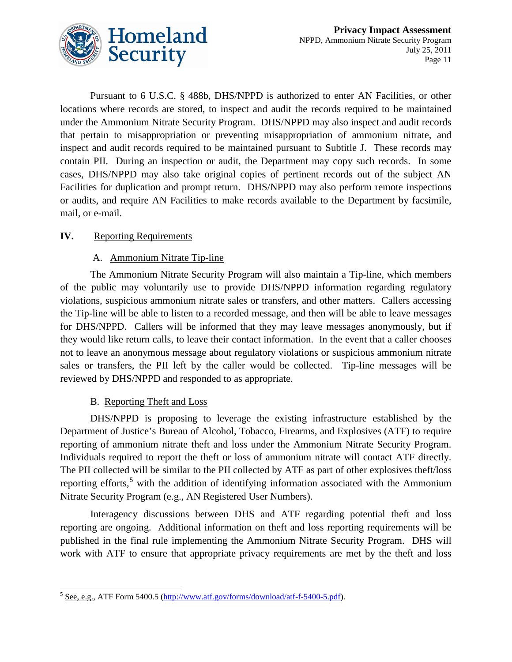

Pursuant to 6 U.S.C. § 488b, DHS/NPPD is authorized to enter AN Facilities, or other locations where records are stored, to inspect and audit the records required to be maintained under the Ammonium Nitrate Security Program. DHS/NPPD may also inspect and audit records that pertain to misappropriation or preventing misappropriation of ammonium nitrate, and inspect and audit records required to be maintained pursuant to Subtitle J. These records may contain PII. During an inspection or audit, the Department may copy such records. In some cases, DHS/NPPD may also take original copies of pertinent records out of the subject AN Facilities for duplication and prompt return. DHS/NPPD may also perform remote inspections or audits, and require AN Facilities to make records available to the Department by facsimile, mail, or e-mail.

#### **IV.** Reporting Requirements

#### A. Ammonium Nitrate Tip-line

The Ammonium Nitrate Security Program will also maintain a Tip-line, which members of the public may voluntarily use to provide DHS/NPPD information regarding regulatory violations, suspicious ammonium nitrate sales or transfers, and other matters. Callers accessing the Tip-line will be able to listen to a recorded message, and then will be able to leave messages for DHS/NPPD. Callers will be informed that they may leave messages anonymously, but if they would like return calls, to leave their contact information. In the event that a caller chooses not to leave an anonymous message about regulatory violations or suspicious ammonium nitrate sales or transfers, the PII left by the caller would be collected. Tip-line messages will be reviewed by DHS/NPPD and responded to as appropriate.

#### B. Reporting Theft and Loss

DHS/NPPD is proposing to leverage the existing infrastructure established by the Department of Justice's Bureau of Alcohol, Tobacco, Firearms, and Explosives (ATF) to require reporting of ammonium nitrate theft and loss under the Ammonium Nitrate Security Program. Individuals required to report the theft or loss of ammonium nitrate will contact ATF directly. The PII collected will be similar to the PII collected by ATF as part of other explosives theft/loss reporting efforts,<sup>[5](#page-11-0)</sup> with the addition of identifying information associated with the Ammonium Nitrate Security Program (e.g., AN Registered User Numbers).

Interagency discussions between DHS and ATF regarding potential theft and loss reporting are ongoing. Additional information on theft and loss reporting requirements will be published in the final rule implementing the Ammonium Nitrate Security Program. DHS will work with ATF to ensure that appropriate privacy requirements are met by the theft and loss

<span id="page-11-0"></span> $5$  See, e.g., ATF Form 5400.5 [\(http://www.atf.gov/forms/download/atf-f-5400-5.pdf\)](http://www.atf.gov/forms/download/atf-f-5400-5.pdf).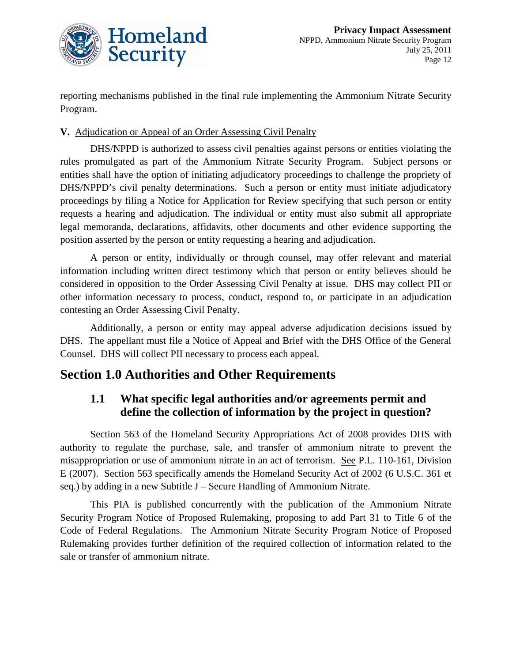

reporting mechanisms published in the final rule implementing the Ammonium Nitrate Security Program.

#### **V.** Adjudication or Appeal of an Order Assessing Civil Penalty

DHS/NPPD is authorized to assess civil penalties against persons or entities violating the rules promulgated as part of the Ammonium Nitrate Security Program. Subject persons or entities shall have the option of initiating adjudicatory proceedings to challenge the propriety of DHS/NPPD's civil penalty determinations. Such a person or entity must initiate adjudicatory proceedings by filing a Notice for Application for Review specifying that such person or entity requests a hearing and adjudication. The individual or entity must also submit all appropriate legal memoranda, declarations, affidavits, other documents and other evidence supporting the position asserted by the person or entity requesting a hearing and adjudication.

A person or entity, individually or through counsel, may offer relevant and material information including written direct testimony which that person or entity believes should be considered in opposition to the Order Assessing Civil Penalty at issue. DHS may collect PII or other information necessary to process, conduct, respond to, or participate in an adjudication contesting an Order Assessing Civil Penalty.

Additionally, a person or entity may appeal adverse adjudication decisions issued by DHS. The appellant must file a Notice of Appeal and Brief with the DHS Office of the General Counsel. DHS will collect PII necessary to process each appeal.

### **Section 1.0 Authorities and Other Requirements**

#### **1.1 What specific legal authorities and/or agreements permit and define the collection of information by the project in question?**

Section 563 of the Homeland Security Appropriations Act of 2008 provides DHS with authority to regulate the purchase, sale, and transfer of ammonium nitrate to prevent the misappropriation or use of ammonium nitrate in an act of terrorism. See P.L. 110-161, Division E (2007). Section 563 specifically amends the Homeland Security Act of 2002 (6 U.S.C. 361 et seq.) by adding in a new Subtitle J – Secure Handling of Ammonium Nitrate.

This PIA is published concurrently with the publication of the Ammonium Nitrate Security Program Notice of Proposed Rulemaking, proposing to add Part 31 to Title 6 of the Code of Federal Regulations. The Ammonium Nitrate Security Program Notice of Proposed Rulemaking provides further definition of the required collection of information related to the sale or transfer of ammonium nitrate.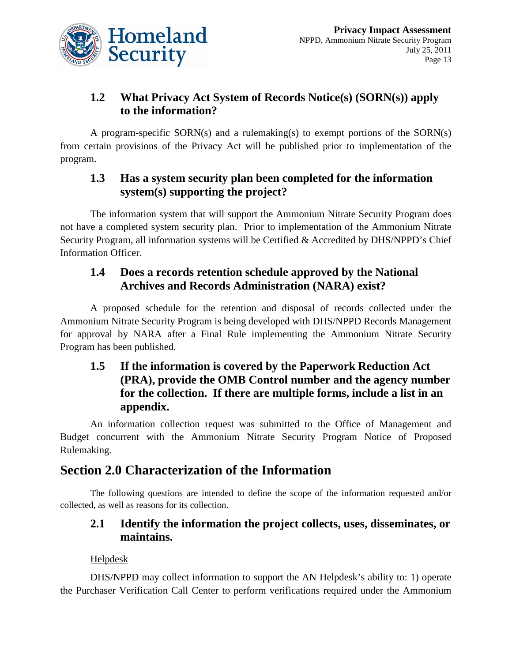

# **1.2 What Privacy Act System of Records Notice(s) (SORN(s)) apply to the information?**

A program-specific SORN(s) and a rulemaking(s) to exempt portions of the SORN(s) from certain provisions of the Privacy Act will be published prior to implementation of the program.

#### **1.3 Has a system security plan been completed for the information system(s) supporting the project?**

The information system that will support the Ammonium Nitrate Security Program does not have a completed system security plan. Prior to implementation of the Ammonium Nitrate Security Program, all information systems will be Certified & Accredited by DHS/NPPD's Chief Information Officer.

#### **1.4 Does a records retention schedule approved by the National Archives and Records Administration (NARA) exist?**

A proposed schedule for the retention and disposal of records collected under the Ammonium Nitrate Security Program is being developed with DHS/NPPD Records Management for approval by NARA after a Final Rule implementing the Ammonium Nitrate Security Program has been published.

#### **1.5 If the information is covered by the Paperwork Reduction Act (PRA), provide the OMB Control number and the agency number for the collection. If there are multiple forms, include a list in an appendix.**

An information collection request was submitted to the Office of Management and Budget concurrent with the Ammonium Nitrate Security Program Notice of Proposed Rulemaking.

# **Section 2.0 Characterization of the Information**

The following questions are intended to define the scope of the information requested and/or collected, as well as reasons for its collection.

# **2.1 Identify the information the project collects, uses, disseminates, or maintains.**

#### Helpdesk

DHS/NPPD may collect information to support the AN Helpdesk's ability to: 1) operate the Purchaser Verification Call Center to perform verifications required under the Ammonium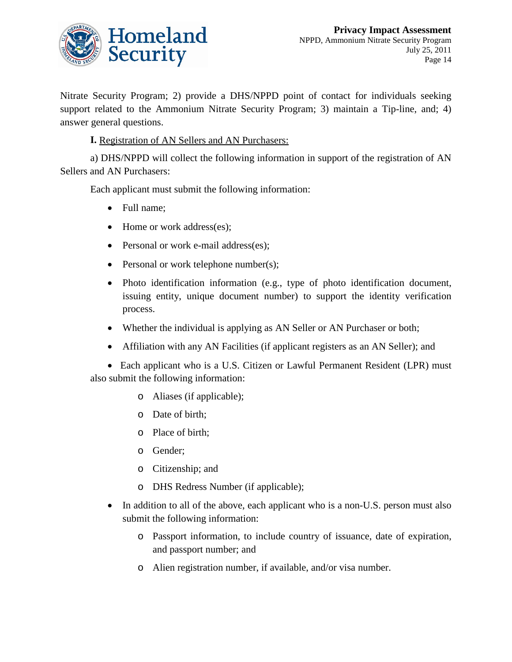

Nitrate Security Program; 2) provide a DHS/NPPD point of contact for individuals seeking support related to the Ammonium Nitrate Security Program; 3) maintain a Tip-line, and; 4) answer general questions.

**I.** Registration of AN Sellers and AN Purchasers:

a) DHS/NPPD will collect the following information in support of the registration of AN Sellers and AN Purchasers:

Each applicant must submit the following information:

- Full name;
- Home or work address(es);
- Personal or work e-mail address(es);
- Personal or work telephone number(s);
- Photo identification information (e.g., type of photo identification document, issuing entity, unique document number) to support the identity verification process.
- Whether the individual is applying as AN Seller or AN Purchaser or both;
- Affiliation with any AN Facilities (if applicant registers as an AN Seller); and

• Each applicant who is a U.S. Citizen or Lawful Permanent Resident (LPR) must also submit the following information:

- o Aliases (if applicable);
- o Date of birth;
- o Place of birth;
- o Gender;
- o Citizenship; and
- o DHS Redress Number (if applicable);
- In addition to all of the above, each applicant who is a non-U.S. person must also submit the following information:
	- o Passport information, to include country of issuance, date of expiration, and passport number; and
	- o Alien registration number, if available, and/or visa number.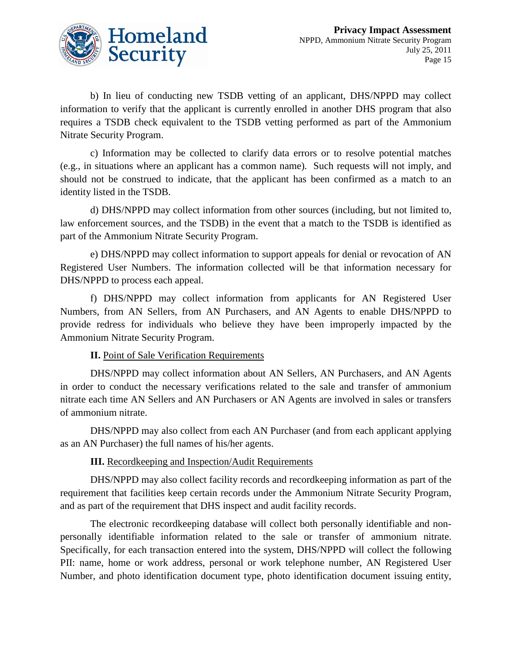

b) In lieu of conducting new TSDB vetting of an applicant, DHS/NPPD may collect information to verify that the applicant is currently enrolled in another DHS program that also requires a TSDB check equivalent to the TSDB vetting performed as part of the Ammonium Nitrate Security Program.

c) Information may be collected to clarify data errors or to resolve potential matches (e.g., in situations where an applicant has a common name). Such requests will not imply, and should not be construed to indicate, that the applicant has been confirmed as a match to an identity listed in the TSDB.

d) DHS/NPPD may collect information from other sources (including, but not limited to, law enforcement sources, and the TSDB) in the event that a match to the TSDB is identified as part of the Ammonium Nitrate Security Program.

e) DHS/NPPD may collect information to support appeals for denial or revocation of AN Registered User Numbers. The information collected will be that information necessary for DHS/NPPD to process each appeal.

f) DHS/NPPD may collect information from applicants for AN Registered User Numbers, from AN Sellers, from AN Purchasers, and AN Agents to enable DHS/NPPD to provide redress for individuals who believe they have been improperly impacted by the Ammonium Nitrate Security Program.

#### **II.** Point of Sale Verification Requirements

DHS/NPPD may collect information about AN Sellers, AN Purchasers, and AN Agents in order to conduct the necessary verifications related to the sale and transfer of ammonium nitrate each time AN Sellers and AN Purchasers or AN Agents are involved in sales or transfers of ammonium nitrate.

DHS/NPPD may also collect from each AN Purchaser (and from each applicant applying as an AN Purchaser) the full names of his/her agents.

#### **III.** Recordkeeping and Inspection/Audit Requirements

DHS/NPPD may also collect facility records and recordkeeping information as part of the requirement that facilities keep certain records under the Ammonium Nitrate Security Program, and as part of the requirement that DHS inspect and audit facility records.

The electronic recordkeeping database will collect both personally identifiable and nonpersonally identifiable information related to the sale or transfer of ammonium nitrate. Specifically, for each transaction entered into the system, DHS/NPPD will collect the following PII: name, home or work address, personal or work telephone number, AN Registered User Number, and photo identification document type, photo identification document issuing entity,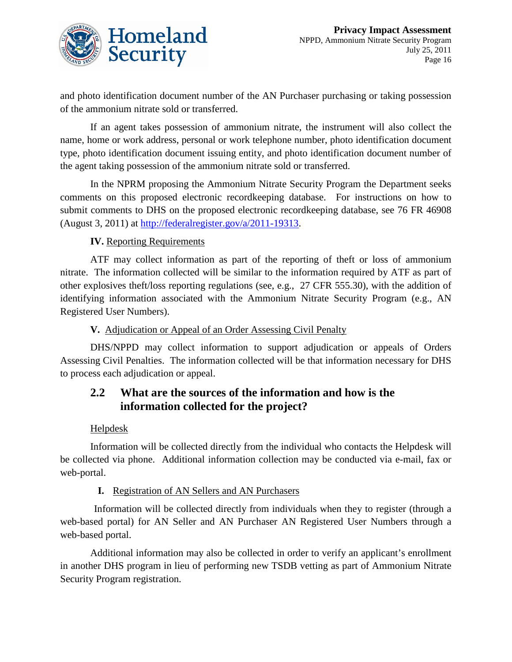

and photo identification document number of the AN Purchaser purchasing or taking possession of the ammonium nitrate sold or transferred.

If an agent takes possession of ammonium nitrate, the instrument will also collect the name, home or work address, personal or work telephone number, photo identification document type, photo identification document issuing entity, and photo identification document number of the agent taking possession of the ammonium nitrate sold or transferred.

In the NPRM proposing the Ammonium Nitrate Security Program the Department seeks comments on this proposed electronic recordkeeping database. For instructions on how to submit comments to DHS on the proposed electronic recordkeeping database, see 76 FR 46908 (August 3, 2011) at [http://federalregister.gov/a/2011-19313.](http://federalregister.gov/a/2011-19313)

#### **IV.** Reporting Requirements

ATF may collect information as part of the reporting of theft or loss of ammonium nitrate. The information collected will be similar to the information required by ATF as part of other explosives theft/loss reporting regulations (see, e.g., 27 CFR 555.30), with the addition of identifying information associated with the Ammonium Nitrate Security Program (e.g., AN Registered User Numbers).

**V.** Adjudication or Appeal of an Order Assessing Civil Penalty

DHS/NPPD may collect information to support adjudication or appeals of Orders Assessing Civil Penalties. The information collected will be that information necessary for DHS to process each adjudication or appeal.

#### **2.2 What are the sources of the information and how is the information collected for the project?**

#### **Helpdesk**

Information will be collected directly from the individual who contacts the Helpdesk will be collected via phone. Additional information collection may be conducted via e-mail, fax or web-portal.

#### **I.** Registration of AN Sellers and AN Purchasers

Information will be collected directly from individuals when they to register (through a web-based portal) for AN Seller and AN Purchaser AN Registered User Numbers through a web-based portal.

Additional information may also be collected in order to verify an applicant's enrollment in another DHS program in lieu of performing new TSDB vetting as part of Ammonium Nitrate Security Program registration.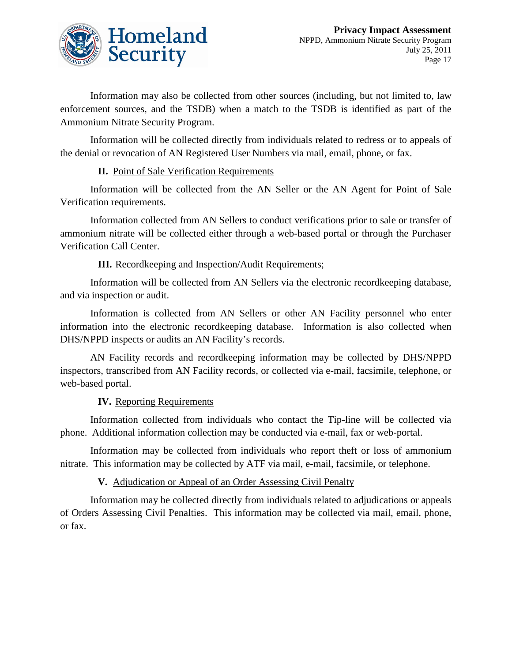

Information may also be collected from other sources (including, but not limited to, law enforcement sources, and the TSDB) when a match to the TSDB is identified as part of the Ammonium Nitrate Security Program.

Information will be collected directly from individuals related to redress or to appeals of the denial or revocation of AN Registered User Numbers via mail, email, phone, or fax.

#### **II.** Point of Sale Verification Requirements

Information will be collected from the AN Seller or the AN Agent for Point of Sale Verification requirements.

Information collected from AN Sellers to conduct verifications prior to sale or transfer of ammonium nitrate will be collected either through a web-based portal or through the Purchaser Verification Call Center.

#### **III.** Recordkeeping and Inspection/Audit Requirements;

Information will be collected from AN Sellers via the electronic recordkeeping database, and via inspection or audit.

Information is collected from AN Sellers or other AN Facility personnel who enter information into the electronic recordkeeping database. Information is also collected when DHS/NPPD inspects or audits an AN Facility's records.

AN Facility records and recordkeeping information may be collected by DHS/NPPD inspectors, transcribed from AN Facility records, or collected via e-mail, facsimile, telephone, or web-based portal.

#### **IV.** Reporting Requirements

Information collected from individuals who contact the Tip-line will be collected via phone. Additional information collection may be conducted via e-mail, fax or web-portal.

Information may be collected from individuals who report theft or loss of ammonium nitrate. This information may be collected by ATF via mail, e-mail, facsimile, or telephone.

#### **V.** Adjudication or Appeal of an Order Assessing Civil Penalty

Information may be collected directly from individuals related to adjudications or appeals of Orders Assessing Civil Penalties. This information may be collected via mail, email, phone, or fax.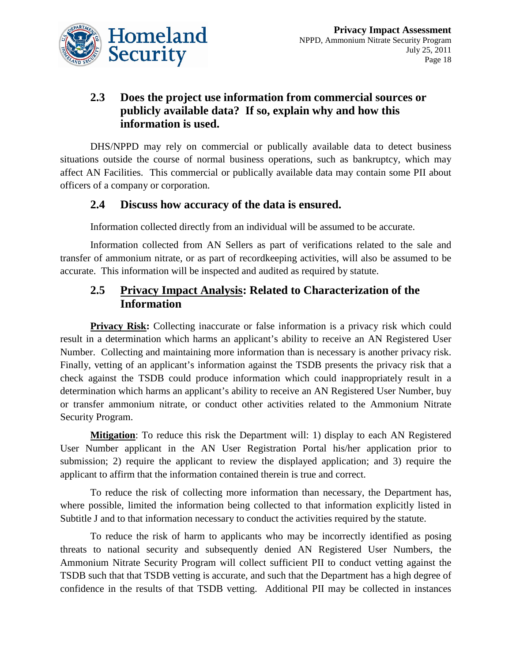

### **2.3 Does the project use information from commercial sources or publicly available data? If so, explain why and how this information is used.**

DHS/NPPD may rely on commercial or publically available data to detect business situations outside the course of normal business operations, such as bankruptcy, which may affect AN Facilities. This commercial or publically available data may contain some PII about officers of a company or corporation.

#### **2.4 Discuss how accuracy of the data is ensured.**

Information collected directly from an individual will be assumed to be accurate.

Information collected from AN Sellers as part of verifications related to the sale and transfer of ammonium nitrate, or as part of recordkeeping activities, will also be assumed to be accurate. This information will be inspected and audited as required by statute.

#### **2.5 Privacy Impact Analysis: Related to Characterization of the Information**

**Privacy Risk:** Collecting inaccurate or false information is a privacy risk which could result in a determination which harms an applicant's ability to receive an AN Registered User Number. Collecting and maintaining more information than is necessary is another privacy risk. Finally, vetting of an applicant's information against the TSDB presents the privacy risk that a check against the TSDB could produce information which could inappropriately result in a determination which harms an applicant's ability to receive an AN Registered User Number, buy or transfer ammonium nitrate, or conduct other activities related to the Ammonium Nitrate Security Program.

**Mitigation** : To reduce this risk the Department will: 1) display to each AN Registered User Number applicant in the AN User Registration Portal his/her application prior to submission; 2) require the applicant to review the displayed application; and 3) require the applicant to affirm that the information contained therein is true and correct.

To reduce the risk of collecting more information than necessary, the Department has, where possible, limited the information being collected to that information explicitly listed in Subtitle J and to that information necessary to conduct the activities required by the statute.

To reduce the risk of harm to applicants who may be incorrectly identified as posing threats to national security and subsequently denied AN Registered User Numbers, the Ammonium Nitrate Security Program will collect sufficient PII to conduct vetting against the TSDB such that that TSDB vetting is accurate, and such that the Department has a high degree of confidence in the results of that TSDB vetting. Additional PII may be collected in instances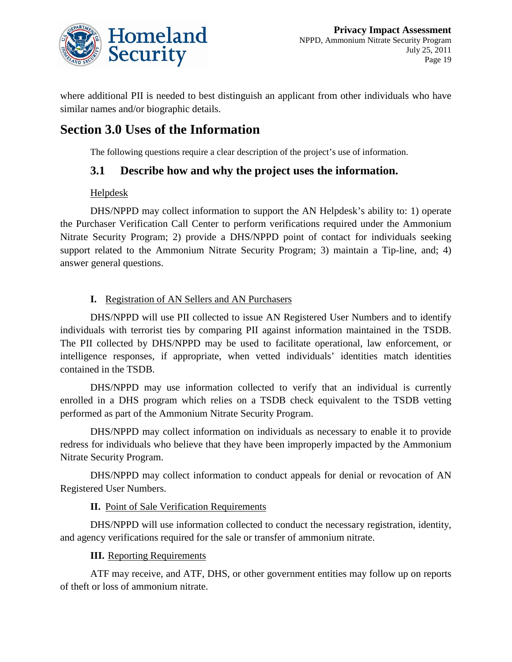

where additional PII is needed to best distinguish an applicant from other individuals who have similar names and/or biographic details.

# **Section 3.0 Uses of the Information**

The following questions require a clear description of the project's use of information.

#### **3.1 Describe how and why the project uses the information.**

#### **Helpdesk**

DHS/NPPD may collect information to support the AN Helpdesk's ability to: 1) operate the Purchaser Verification Call Center to perform verifications required under the Ammonium Nitrate Security Program; 2) provide a DHS/NPPD point of contact for individuals seeking support related to the Ammonium Nitrate Security Program; 3) maintain a Tip-line, and; 4) answer general questions.

#### **I.** Registration of AN Sellers and AN Purchasers

DHS/NPPD will use PII collected to issue AN Registered User Numbers and to identify individuals with terrorist ties by comparing PII against information maintained in the TSDB. The PII collected by DHS/NPPD may be used to facilitate operational, law enforcement, or intelligence responses, if appropriate, when vetted individuals' identities match identities contained in the TSDB.

DHS/NPPD may use information collected to verify that an individual is currently enrolled in a DHS program which relies on a TSDB check equivalent to the TSDB vetting performed as part of the Ammonium Nitrate Security Program.

DHS/NPPD may collect information on individuals as necessary to enable it to provide redress for individuals who believe that they have been improperly impacted by the Ammonium Nitrate Security Program.

DHS/NPPD may collect information to conduct appeals for denial or revocation of AN Registered User Numbers.

#### **II.** Point of Sale Verification Requirements

DHS/NPPD will use information collected to conduct the necessary registration, identity, and agency verifications required for the sale or transfer of ammonium nitrate.

#### **III.** Reporting Requirements

ATF may receive, and ATF, DHS, or other government entities may follow up on reports of theft or loss of ammonium nitrate.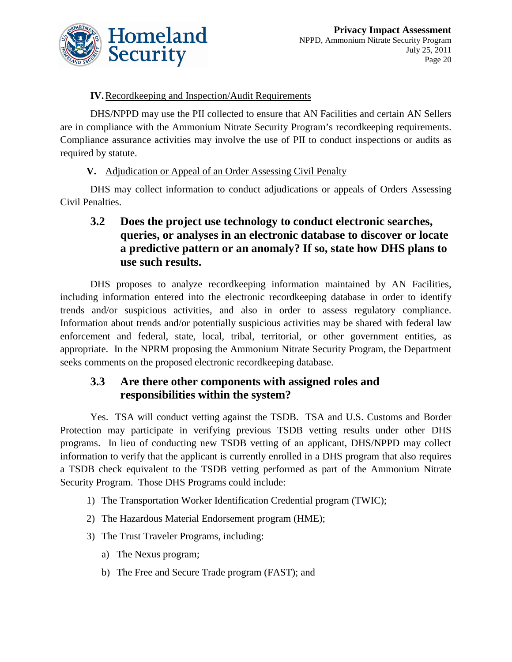

#### **IV.** Recordkeeping and Inspection/Audit Requirements

DHS/NPPD may use the PII collected to ensure that AN Facilities and certain AN Sellers are in compliance with the Ammonium Nitrate Security Program's recordkeeping requirements. Compliance assurance activities may involve the use of PII to conduct inspections or audits as required by statute.

#### **V.** Adjudication or Appeal of an Order Assessing Civil Penalty

DHS may collect information to conduct adjudications or appeals of Orders Assessing Civil Penalties.

#### **3.2 Does the project use technology to conduct electronic searches, queries, or analyses in an electronic database to discover or locate a predictive pattern or an anomaly? If so, state how DHS plans to use such results.**

DHS proposes to analyze recordkeeping information maintained by AN Facilities, including information entered into the electronic recordkeeping database in order to identify trends and/or suspicious activities, and also in order to assess regulatory compliance. Information about trends and/or potentially suspicious activities may be shared with federal law enforcement and federal, state, local, tribal, territorial, or other government entities, as appropriate. In the NPRM proposing the Ammonium Nitrate Security Program, the Department seeks comments on the proposed electronic recordkeeping database.

#### **3.3 Are there other components with assigned roles and responsibilities within the system?**

Yes. TSA will conduct vetting against the TSDB. TSA and U.S. Customs and Border Protection may participate in verifying previous TSDB vetting results under other DHS programs. In lieu of conducting new TSDB vetting of an applicant, DHS/NPPD may collect information to verify that the applicant is currently enrolled in a DHS program that also requires a TSDB check equivalent to the TSDB vetting performed as part of the Ammonium Nitrate Security Program. Those DHS Programs could include:

- 1) The Transportation Worker Identification Credential program (TWIC);
- 2) The Hazardous Material Endorsement program (HME);
- 3) The Trust Traveler Programs, including:
	- a) The Nexus program;
	- b) The Free and Secure Trade program (FAST); and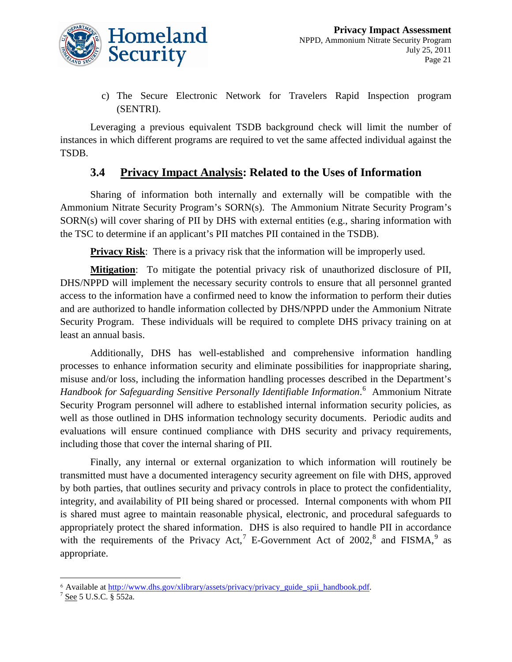

c) The Secure Electronic Network for Travelers Rapid Inspection program (SENTRI).

Leveraging a previous equivalent TSDB background check will limit the number of instances in which different programs are required to vet the same affected individual against the TSDB.

#### **3.4 Privacy Impact Analysis: Related to the Uses of Information**

Sharing of information both internally and externally will be compatible with the Ammonium Nitrate Security Program's SORN(s). The Ammonium Nitrate Security Program's SORN(s) will cover sharing of PII by DHS with external entities (e.g., sharing information with the TSC to determine if an applicant's PII matches PII contained in the TSDB).

**Privacy Risk:** There is a privacy risk that the information will be improperly used.

Mitigation: To mitigate the potential privacy risk of unauthorized disclosure of PII, DHS/NPPD will implement the necessary security controls to ensure that all personnel granted access to the information have a confirmed need to know the information to perform their duties and are authorized to handle information collected by DHS/NPPD under the Ammonium Nitrate Security Program. These individuals will be required to complete DHS privacy training on at least an annual basis.

Additionally, DHS has well-established and comprehensive information handling processes to enhance information security and eliminate possibilities for inappropriate sharing, misuse and/or loss, including the information handling processes described in the Department's Handbook for Safeguarding Sensitive Personally Identifiable Information.<sup>[6](#page-21-0)</sup> Ammonium Nitrate Security Program personnel will adhere to established internal information security policies, as well as those outlined in DHS information technology security documents. Periodic audits and evaluations will ensure continued compliance with DHS security and privacy requirements, including those that cover the internal sharing of PII.

Finally, any internal or external organization to which information will routinely be transmitted must have a documented interagency security agreement on file with DHS, approved by both parties, that outlines security and privacy controls in place to protect the confidentiality, integrity, and availability of PII being shared or processed. Internal components with whom PII is shared must agree to maintain reasonable physical, electronic, and procedural safeguards to appropriately protect the shared information. DHS is also required to handle PII in accordance with the requirements of the Privacy Act,<sup>[7](#page-21-1)</sup> E-Government Act of 2002,<sup>[8](#page-21-0)</sup> and FISMA,<sup>[9](#page-21-1)</sup> as appropriate.

 $\overline{a}$ 

<span id="page-21-0"></span><sup>&</sup>lt;sup>6</sup> Available at <u>[http://www.dhs.gov/xlibrary/assets/privacy/privacy\\_guide\\_spii\\_handbook.pdf.](http://www.dhs.gov/xlibrary/assets/privacy/privacy_guide_spii_handbook.pdf)</u><br><sup>7</sup> <u>See</u> 5 U.S.C. § 552a.

<span id="page-21-1"></span>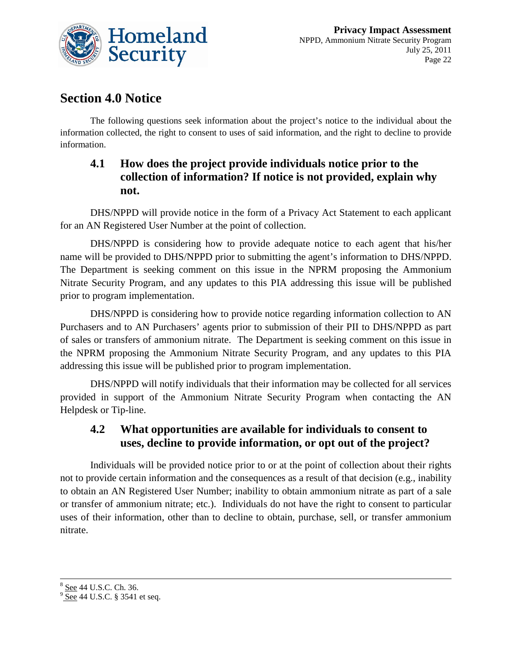

# **Section 4.0 Notice**

The following questions seek information about the project's notice to the individual about the information collected, the right to consent to uses of said information, and the right to decline to provide information.

#### **4.1 How does the project provide individuals notice prior to the collection of information? If notice is not provided, explain why not.**

DHS/NPPD will provide notice in the form of a Privacy Act Statement to each applicant for an AN Registered User Number at the point of collection.

DHS/NPPD is considering how to provide adequate notice to each agent that his/her name will be provided to DHS/NPPD prior to submitting the agent's information to DHS/NPPD. The Department is seeking comment on this issue in the NPRM proposing the Ammonium Nitrate Security Program, and any updates to this PIA addressing this issue will be published prior to program implementation.

DHS/NPPD is considering how to provide notice regarding information collection to AN Purchasers and to AN Purchasers' agents prior to submission of their PII to DHS/NPPD as part of sales or transfers of ammonium nitrate. The Department is seeking comment on this issue in the NPRM proposing the Ammonium Nitrate Security Program, and any updates to this PIA addressing this issue will be published prior to program implementation.

DHS/NPPD will notify individuals that their information may be collected for all services provided in support of the Ammonium Nitrate Security Program when contacting the AN Helpdesk or Tip-line.

#### **4.2 What opportunities are available for individuals to consent to uses, decline to provide information, or opt out of the project?**

Individuals will be provided notice prior to or at the point of collection about their rights not to provide certain information and the consequences as a result of that decision (e.g., inability to obtain an AN Registered User Number; inability to obtain ammonium nitrate as part of a sale or transfer of ammonium nitrate; etc.). Individuals do not have the right to consent to particular uses of their information, other than to decline to obtain, purchase, sell, or transfer ammonium nitrate.

 $\frac{3}{9}$  <u>See</u> 44 U.S.C. Ch. 36.<br>9 See 44 U.S.C. § 3541 et seq.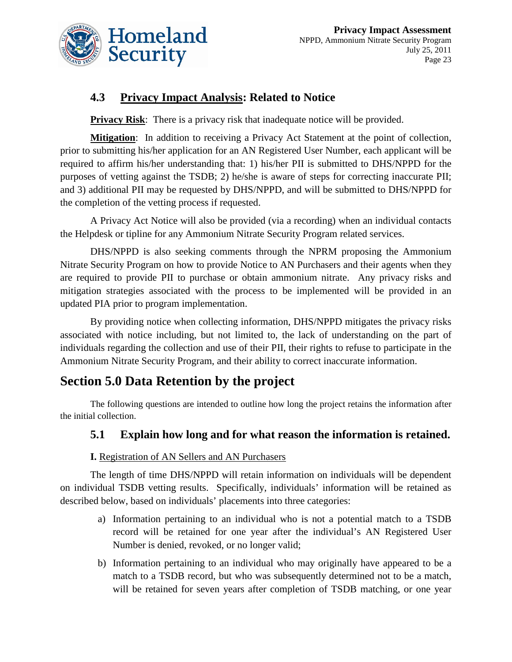

# **4.3 Privacy Impact Analysis: Related to Notice**

**Privacy Risk:** There is a privacy risk that inadequate notice will be provided.

Mitigation: In addition to receiving a Privacy Act Statement at the point of collection, prior to submitting his/her application for an AN Registered User Number, each applicant will be required to affirm his/her understanding that: 1) his/her PII is submitted to DHS/NPPD for the purposes of vetting against the TSDB; 2) he/she is aware of steps for correcting inaccurate PII; and 3) additional PII may be requested by DHS/NPPD, and will be submitted to DHS/NPPD for the completion of the vetting process if requested.

A Privacy Act Notice will also be provided (via a recording) when an individual contacts the Helpdesk or tipline for any Ammonium Nitrate Security Program related services.

DHS/NPPD is also seeking comments through the NPRM proposing the Ammonium Nitrate Security Program on how to provide Notice to AN Purchasers and their agents when they are required to provide PII to purchase or obtain ammonium nitrate. Any privacy risks and mitigation strategies associated with the process to be implemented will be provided in an updated PIA prior to program implementation.

By providing notice when collecting information, DHS/NPPD mitigates the privacy risks associated with notice including, but not limited to, the lack of understanding on the part of individuals regarding the collection and use of their PII, their rights to refuse to participate in the Ammonium Nitrate Security Program, and their ability to correct inaccurate information.

# **Section 5.0 Data Retention by the project**

The following questions are intended to outline how long the project retains the information after the initial collection.

### **5.1 Explain how long and for what reason the information is retained.**

#### **I.** Registration of AN Sellers and AN Purchasers

The length of time DHS/NPPD will retain information on individuals will be dependent on individual TSDB vetting results. Specifically, individuals' information will be retained as described below, based on individuals' placements into three categories:

- a) Information pertaining to an individual who is not a potential match to a TSDB record will be retained for one year after the individual's AN Registered User Number is denied, revoked, or no longer valid;
- b) Information pertaining to an individual who may originally have appeared to be a match to a TSDB record, but who was subsequently determined not to be a match, will be retained for seven years after completion of TSDB matching, or one year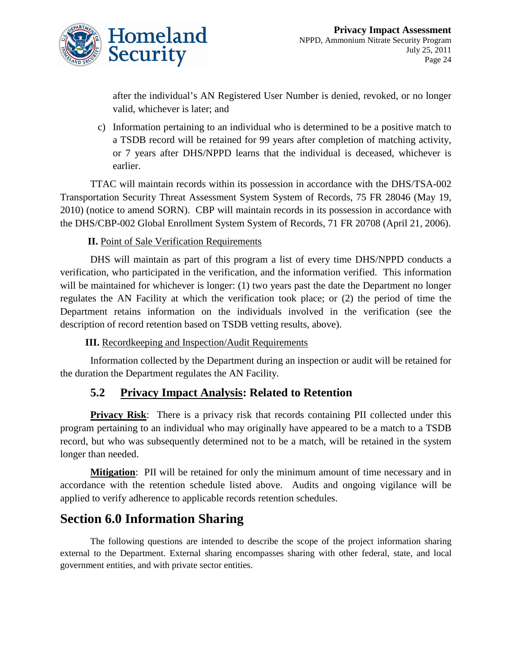

after the individual's AN Registered User Number is denied, revoked, or no longer valid, whichever is later; and

c) Information pertaining to an individual who is determined to be a positive match to a TSDB record will be retained for 99 years after completion of matching activity, or 7 years after DHS/NPPD learns that the individual is deceased, whichever is earlier.

TTAC will maintain records within its possession in accordance with the [DHS/TSA-002](http://edocket.access.gpo.gov/2010/2010-11919.htm)  [Transportation Security Threat Assessment System](http://edocket.access.gpo.gov/2010/2010-11919.htm) System of Records, 75 FR 28046 (May 19, 2010) (notice to amend SORN). CBP will maintain records in its possession in accordance with the [DHS/CBP-002 Global Enrollment System](http://edocket.access.gpo.gov/2006/E6-5968.htm) System of Records, 71 FR 20708 (April 21, 2006).

#### **II.** Point of Sale Verification Requirements

DHS will maintain as part of this program a list of every time DHS/NPPD conducts a verification, who participated in the verification, and the information verified. This information will be maintained for whichever is longer: (1) two years past the date the Department no longer regulates the AN Facility at which the verification took place; or (2) the period of time the Department retains information on the individuals involved in the verification (see the description of record retention based on TSDB vetting results, above).

**III.** Recordkeeping and Inspection/Audit Requirements

Information collected by the Department during an inspection or audit will be retained for the duration the Department regulates the AN Facility.

#### **5.2 Privacy Impact Analysis: Related to Retention**

**Privacy Risk:** There is a privacy risk that records containing PII collected under this program pertaining to an individual who may originally have appeared to be a match to a TSDB record, but who was subsequently determined not to be a match, will be retained in the system longer than needed.

**Mitigation**: PII will be retained for only the minimum amount of time necessary and in accordance with the retention schedule listed above. Audits and ongoing vigilance will be applied to verify adherence to applicable records retention schedules.

# **Section 6.0 Information Sharing**

The following questions are intended to describe the scope of the project information sharing external to the Department. External sharing encompasses sharing with other federal, state, and local government entities, and with private sector entities.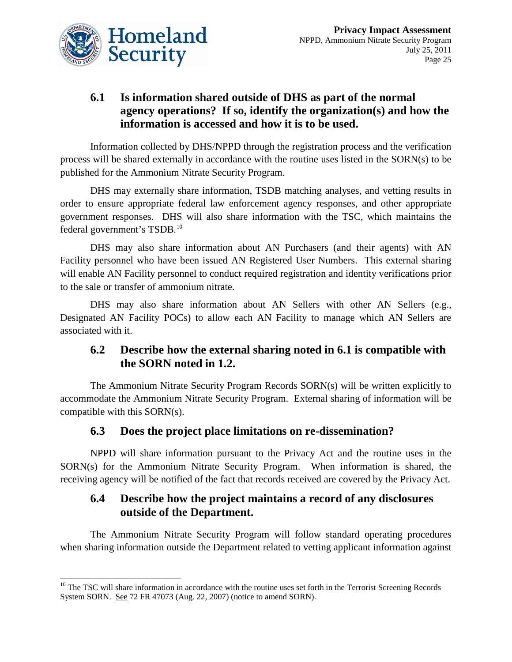

# **6.1 Is information shared outside of DHS as part of the normal agency operations? If so, identify the organization(s) and how the information is accessed and how it is to be used.**

Information collected by DHS/NPPD through the registration process and the verification process will be shared externally in accordance with the routine uses listed in the SORN(s) to be published for the Ammonium Nitrate Security Program.

DHS may externally share information, TSDB matching analyses, and vetting results in order to ensure appropriate federal law enforcement agency responses, and other appropriate government responses. DHS will also share information with the TSC, which maintains the federal government's TSDB.<sup>[10](#page-25-0)</sup>

DHS may also share information about AN Purchasers (and their agents) with AN Facility personnel who have been issued AN Registered User Numbers. This external sharing will enable AN Facility personnel to conduct required registration and identity verifications prior to the sale or transfer of ammonium nitrate.

DHS may also share information about AN Sellers with other AN Sellers (e.g., Designated AN Facility POCs) to allow each AN Facility to manage which AN Sellers are associated with it.

#### **6.2 Describe how the external sharing noted in 6.1 is compatible with the SORN noted in 1.2.**

The Ammonium Nitrate Security Program Records SORN(s) will be written explicitly to accommodate the Ammonium Nitrate Security Program. External sharing of information will be compatible with this SORN(s).

### **6.3 Does the project place limitations on re-dissemination?**

NPPD will share information pursuant to the Privacy Act and the routine uses in the SORN(s) for the Ammonium Nitrate Security Program. When information is shared, the receiving agency will be notified of the fact that records received are covered by the Privacy Act.

#### **6.4 Describe how the project maintains a record of any disclosures outside of the Department.**

The Ammonium Nitrate Security Program will follow standard operating procedures when sharing information outside the Department related to vetting applicant information against

<span id="page-25-0"></span> $10$  The TSC will share information in accordance with the routine uses set forth in the Terrorist Screening Records System SORN. See 72 FR 47073 (Aug. 22, 2007) (notice to amend SORN).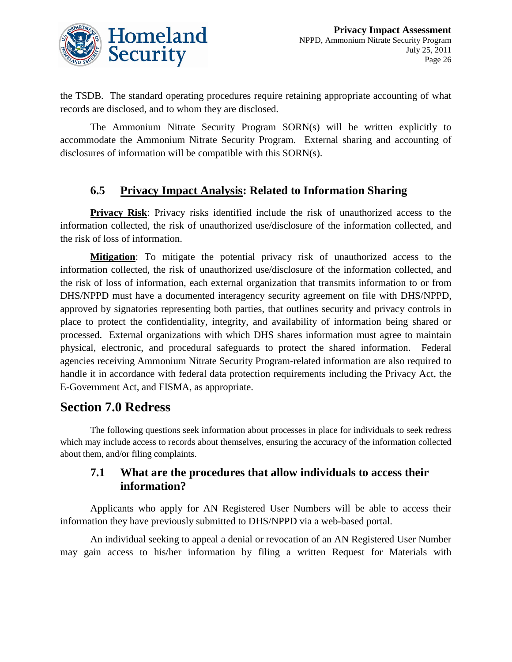

the TSDB. The standard operating procedures require retaining appropriate accounting of what records are disclosed, and to whom they are disclosed.

The Ammonium Nitrate Security Program SORN(s) will be written explicitly to accommodate the Ammonium Nitrate Security Program. External sharing and accounting of disclosures of information will be compatible with this SORN(s).

#### **6.5 Privacy Impact Analysis: Related to Information Sharing**

**Privacy Risk**: Privacy risks identified include the risk of unauthorized access to the information collected, the risk of unauthorized use/disclosure of the information collected, and the risk of loss of information.

Mitigation: To mitigate the potential privacy risk of unauthorized access to the information collected, the risk of unauthorized use/disclosure of the information collected, and the risk of loss of information, each external organization that transmits information to or from DHS/NPPD must have a documented interagency security agreement on file with DHS/NPPD, approved by signatories representing both parties, that outlines security and privacy controls in place to protect the confidentiality, integrity, and availability of information being shared or processed. External organizations with which DHS shares information must agree to maintain physical, electronic, and procedural safeguards to protect the shared information. Federal agencies receiving Ammonium Nitrate Security Program-related information are also required to handle it in accordance with federal data protection requirements including the Privacy Act, the E-Government Act, and FISMA, as appropriate.

# **Section 7.0 Redress**

The following questions seek information about processes in place for individuals to seek redress which may include access to records about themselves, ensuring the accuracy of the information collected about them, and/or filing complaints.

#### **7.1 What are the procedures that allow individuals to access their information?**

Applicants who apply for AN Registered User Numbers will be able to access their information they have previously submitted to DHS/NPPD via a web-based portal.

An individual seeking to appeal a denial or revocation of an AN Registered User Number may gain access to his/her information by filing a written Request for Materials with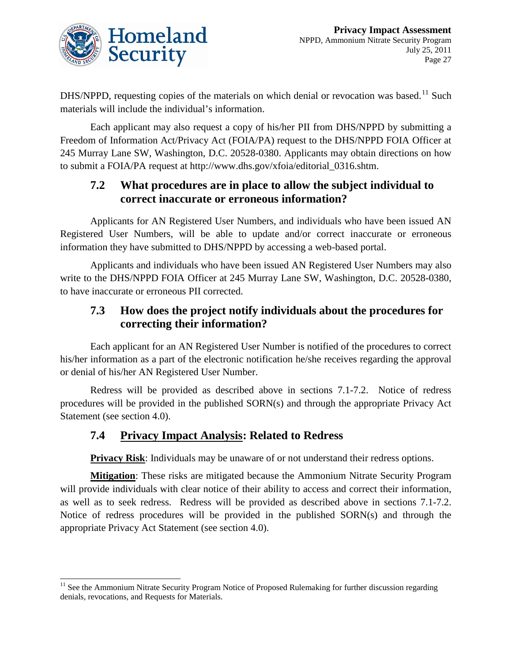

DHS/NPPD, requesting copies of the materials on which denial or revocation was based.<sup>[11](#page-27-0)</sup> Such materials will include the individual's information.

Each applicant may also request a copy of his/her PII from DHS/NPPD by submitting a Freedom of Information Act/Privacy Act (FOIA/PA) request to the DHS/NPPD FOIA Officer at 245 Murray Lane SW, Washington, D.C. 20528-0380. Applicants may obtain directions on how to submit a FOIA/PA request at [http://www.dhs.gov/xfoia/editorial\\_0316.shtm.](http://www.dhs.gov/xfoia/editorial_0316.shtm)

#### **7.2 What procedures are in place to allow the subject individual to correct inaccurate or erroneous information?**

Applicants for AN Registered User Numbers, and individuals who have been issued AN Registered User Numbers, will be able to update and/or correct inaccurate or erroneous information they have submitted to DHS/NPPD by accessing a web-based portal.

Applicants and individuals who have been issued AN Registered User Numbers may also write to the DHS/NPPD FOIA Officer at 245 Murray Lane SW, Washington, D.C. 20528-0380, to have inaccurate or erroneous PII corrected.

### **7.3 How does the project notify individuals about the procedures for correcting their information?**

Each applicant for an AN Registered User Number is notified of the procedures to correct his/her information as a part of the electronic notification he/she receives regarding the approval or denial of his/her AN Registered User Number.

Redress will be provided as described above in sections 7.1-7.2. Notice of redress procedures will be provided in the published SORN(s) and through the appropriate Privacy Act Statement (see section 4.0).

### **7.4 Privacy Impact Analysis: Related to Redress**

**Privacy Risk:** Individuals may be unaware of or not understand their redress options.

**Mitigation**: These risks are mitigated because the Ammonium Nitrate Security Program will provide individuals with clear notice of their ability to access and correct their information, as well as to seek redress. Redress will be provided as described above in sections 7.1-7.2. Notice of redress procedures will be provided in the published SORN(s) and through the appropriate Privacy Act Statement (see section 4.0).

<span id="page-27-0"></span><sup>&</sup>lt;sup>11</sup> See the Ammonium Nitrate Security Program Notice of Proposed Rulemaking for further discussion regarding denials, revocations, and Requests for Materials.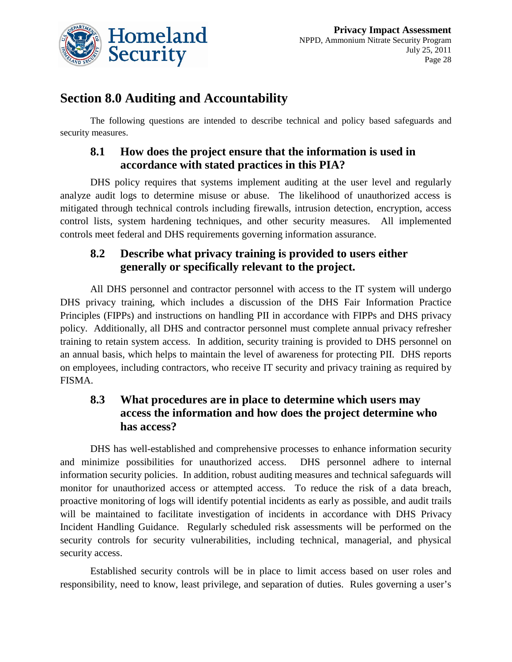

# **Section 8.0 Auditing and Accountability**

The following questions are intended to describe technical and policy based safeguards and security measures.

#### **8.1 How does the project ensure that the information is used in accordance with stated practices in this PIA?**

DHS policy requires that systems implement auditing at the user level and regularly analyze audit logs to determine misuse or abuse. The likelihood of unauthorized access is mitigated through technical controls including firewalls, intrusion detection, encryption, access control lists, system hardening techniques, and other security measures. All implemented controls meet federal and DHS requirements governing information assurance.

### **8.2 Describe what privacy training is provided to users either generally or specifically relevant to the project.**

All DHS personnel and contractor personnel with access to the IT system will undergo DHS privacy training, which includes a discussion of the DHS Fair Information Practice Principles (FIPPs) and instructions on handling PII in accordance with FIPPs and DHS privacy policy. Additionally, all DHS and contractor personnel must complete annual privacy refresher training to retain system access. In addition, security training is provided to DHS personnel on an annual basis, which helps to maintain the level of awareness for protecting PII. DHS reports on employees, including contractors, who receive IT security and privacy training as required by FISMA.

### **8.3 What procedures are in place to determine which users may access the information and how does the project determine who has access?**

DHS has well-established and comprehensive processes to enhance information security and minimize possibilities for unauthorized access. DHS personnel adhere to internal information security policies. In addition, robust auditing measures and technical safeguards will monitor for unauthorized access or attempted access. To reduce the risk of a data breach, proactive monitoring of logs will identify potential incidents as early as possible, and audit trails will be maintained to facilitate investigation of incidents in accordance with DHS Privacy Incident Handling Guidance. Regularly scheduled risk assessments will be performed on the security controls for security vulnerabilities, including technical, managerial, and physical security access.

Established security controls will be in place to limit access based on user roles and responsibility, need to know, least privilege, and separation of duties. Rules governing a user's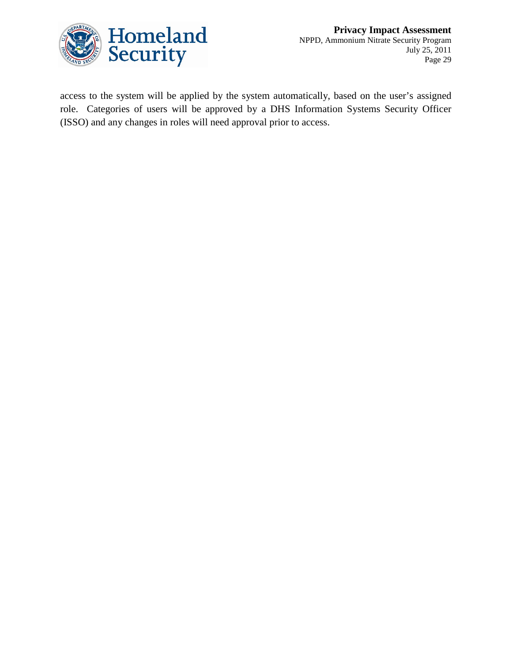

access to the system will be applied by the system automatically, based on the user's assigned role. Categories of users will be approved by a DHS Information Systems Security Officer (ISSO) and any changes in roles will need approval prior to access.